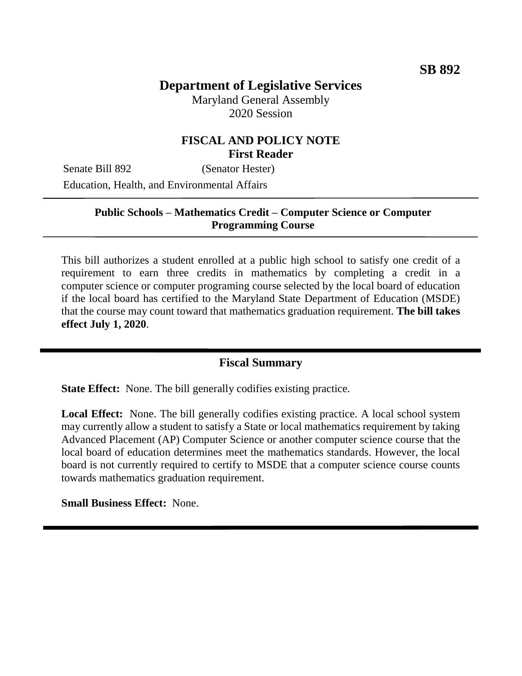## **Department of Legislative Services**

Maryland General Assembly 2020 Session

#### **FISCAL AND POLICY NOTE First Reader**

Senate Bill 892 (Senator Hester) Education, Health, and Environmental Affairs

#### **Public Schools – Mathematics Credit – Computer Science or Computer Programming Course**

This bill authorizes a student enrolled at a public high school to satisfy one credit of a requirement to earn three credits in mathematics by completing a credit in a computer science or computer programing course selected by the local board of education if the local board has certified to the Maryland State Department of Education (MSDE) that the course may count toward that mathematics graduation requirement. **The bill takes effect July 1, 2020**.

#### **Fiscal Summary**

**State Effect:** None. The bill generally codifies existing practice.

**Local Effect:** None. The bill generally codifies existing practice. A local school system may currently allow a student to satisfy a State or local mathematics requirement by taking Advanced Placement (AP) Computer Science or another computer science course that the local board of education determines meet the mathematics standards. However, the local board is not currently required to certify to MSDE that a computer science course counts towards mathematics graduation requirement.

**Small Business Effect:** None.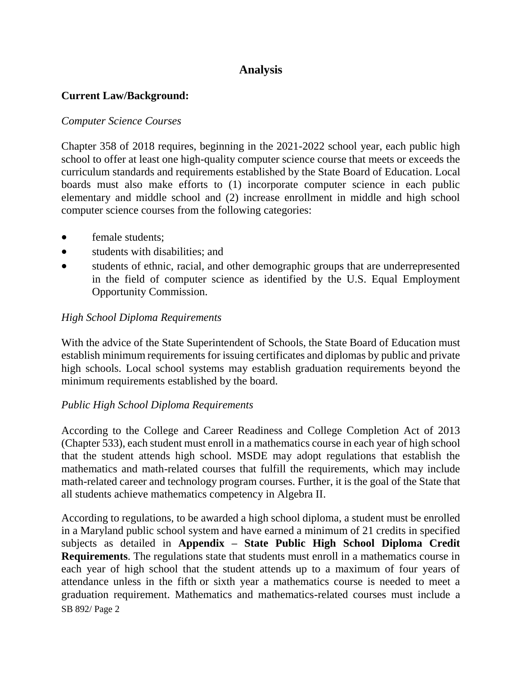## **Analysis**

#### **Current Law/Background:**

#### *Computer Science Courses*

Chapter 358 of 2018 requires, beginning in the 2021-2022 school year, each public high school to offer at least one high-quality computer science course that meets or exceeds the curriculum standards and requirements established by the State Board of Education. Local boards must also make efforts to (1) incorporate computer science in each public elementary and middle school and (2) increase enrollment in middle and high school computer science courses from the following categories:

- female students;
- students with disabilities; and
- students of ethnic, racial, and other demographic groups that are underrepresented in the field of computer science as identified by the U.S. Equal Employment Opportunity Commission.

#### *High School Diploma Requirements*

With the advice of the State Superintendent of Schools, the State Board of Education must establish minimum requirements for issuing certificates and diplomas by public and private high schools. Local school systems may establish graduation requirements beyond the minimum requirements established by the board.

#### *Public High School Diploma Requirements*

According to the College and Career Readiness and College Completion Act of 2013 (Chapter 533), each student must enroll in a mathematics course in each year of high school that the student attends high school. MSDE may adopt regulations that establish the mathematics and math-related courses that fulfill the requirements, which may include math-related career and technology program courses. Further, it is the goal of the State that all students achieve mathematics competency in Algebra II.

SB 892/ Page 2 According to regulations, to be awarded a high school diploma, a student must be enrolled in a Maryland public school system and have earned a minimum of 21 credits in specified subjects as detailed in **Appendix – State Public High School Diploma Credit Requirements**. The regulations state that students must enroll in a mathematics course in each year of high school that the student attends up to a maximum of four years of attendance unless in the fifth or sixth year a mathematics course is needed to meet a graduation requirement. Mathematics and mathematics-related courses must include a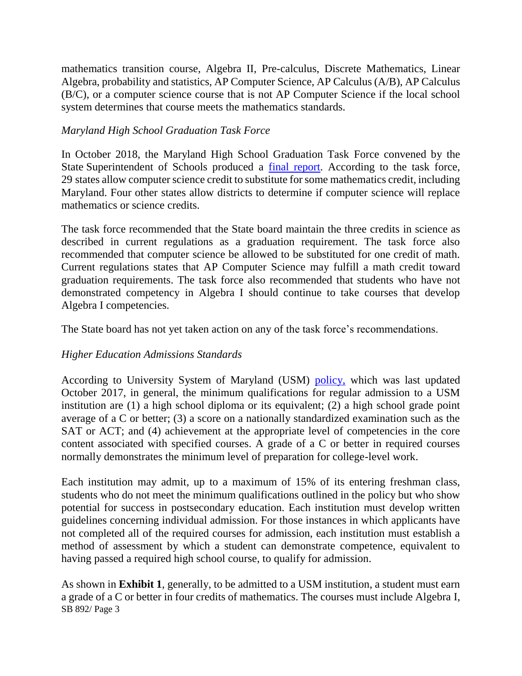mathematics transition course, Algebra II, Pre-calculus, Discrete Mathematics, Linear Algebra, probability and statistics, AP Computer Science, AP Calculus (A/B), AP Calculus (B/C), or a computer science course that is not AP Computer Science if the local school system determines that course meets the mathematics standards.

#### *Maryland High School Graduation Task Force*

In October 2018, the Maryland High School Graduation Task Force convened by the State Superintendent of Schools produced a [final report.](http://www.marylandpublicschools.org/stateboard/Documents/10232018/TabL-GraduationTaskForce.pdf) According to the task force, 29 states allow computer science credit to substitute for some mathematics credit, including Maryland. Four other states allow districts to determine if computer science will replace mathematics or science credits.

The task force recommended that the State board maintain the three credits in science as described in current regulations as a graduation requirement. The task force also recommended that computer science be allowed to be substituted for one credit of math. Current regulations states that AP Computer Science may fulfill a math credit toward graduation requirements. The task force also recommended that students who have not demonstrated competency in Algebra I should continue to take courses that develop Algebra I competencies.

The State board has not yet taken action on any of the task force's recommendations.

#### *Higher Education Admissions Standards*

According to University System of Maryland (USM) [policy,](http://www.usmd.edu/regents/bylaws/SectionIII/) which was last updated October 2017, in general, the minimum qualifications for regular admission to a USM institution are (1) a high school diploma or its equivalent; (2) a high school grade point average of a C or better; (3) a score on a nationally standardized examination such as the SAT or ACT; and (4) achievement at the appropriate level of competencies in the core content associated with specified courses. A grade of a C or better in required courses normally demonstrates the minimum level of preparation for college-level work.

Each institution may admit, up to a maximum of 15% of its entering freshman class, students who do not meet the minimum qualifications outlined in the policy but who show potential for success in postsecondary education. Each institution must develop written guidelines concerning individual admission. For those instances in which applicants have not completed all of the required courses for admission, each institution must establish a method of assessment by which a student can demonstrate competence, equivalent to having passed a required high school course, to qualify for admission.

SB 892/ Page 3 As shown in **Exhibit 1**, generally, to be admitted to a USM institution, a student must earn a grade of a C or better in four credits of mathematics. The courses must include Algebra I,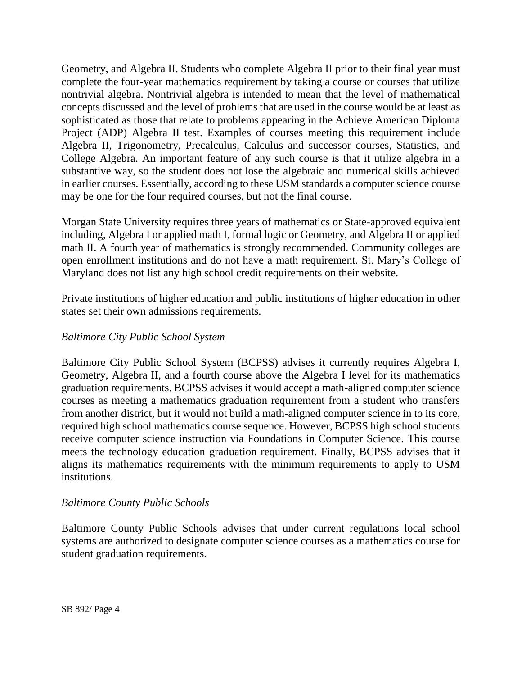Geometry, and Algebra II. Students who complete Algebra II prior to their final year must complete the four-year mathematics requirement by taking a course or courses that utilize nontrivial algebra. Nontrivial algebra is intended to mean that the level of mathematical concepts discussed and the level of problems that are used in the course would be at least as sophisticated as those that relate to problems appearing in the Achieve American Diploma Project (ADP) Algebra II test. Examples of courses meeting this requirement include Algebra II, Trigonometry, Precalculus, Calculus and successor courses, Statistics, and College Algebra. An important feature of any such course is that it utilize algebra in a substantive way, so the student does not lose the algebraic and numerical skills achieved in earlier courses. Essentially, according to these USM standards a computer science course may be one for the four required courses, but not the final course.

Morgan State University requires three years of mathematics or State-approved equivalent including, Algebra I or applied math I, formal logic or Geometry, and Algebra II or applied math II. A fourth year of mathematics is strongly recommended. Community colleges are open enrollment institutions and do not have a math requirement. St. Mary's College of Maryland does not list any high school credit requirements on their website.

Private institutions of higher education and public institutions of higher education in other states set their own admissions requirements.

#### *Baltimore City Public School System*

Baltimore City Public School System (BCPSS) advises it currently requires Algebra I, Geometry, Algebra II, and a fourth course above the Algebra I level for its mathematics graduation requirements. BCPSS advises it would accept a math-aligned computer science courses as meeting a mathematics graduation requirement from a student who transfers from another district, but it would not build a math-aligned computer science in to its core, required high school mathematics course sequence. However, BCPSS high school students receive computer science instruction via Foundations in Computer Science. This course meets the technology education graduation requirement. Finally, BCPSS advises that it aligns its mathematics requirements with the minimum requirements to apply to USM institutions.

#### *Baltimore County Public Schools*

Baltimore County Public Schools advises that under current regulations local school systems are authorized to designate computer science courses as a mathematics course for student graduation requirements.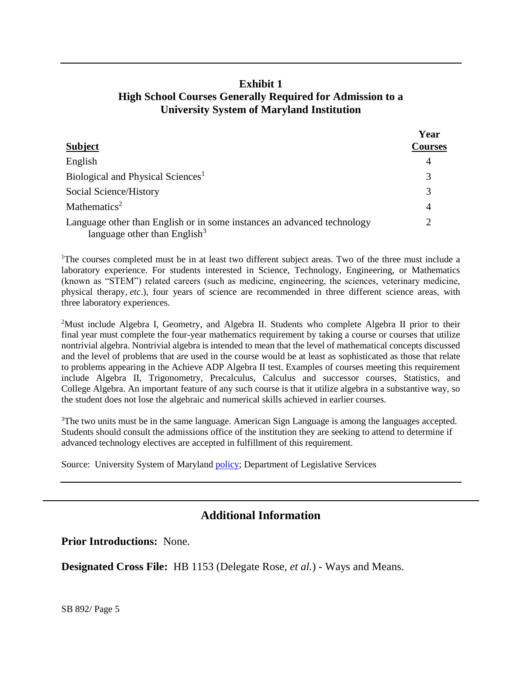### **Exhibit 1 High School Courses Generally Required for Admission to a University System of Maryland Institution**

| <b>Subject</b>                                                                                                      | Year<br><b>Courses</b> |
|---------------------------------------------------------------------------------------------------------------------|------------------------|
|                                                                                                                     |                        |
| Biological and Physical Sciences <sup>1</sup>                                                                       |                        |
| Social Science/History                                                                                              |                        |
| Mathematics <sup>2</sup>                                                                                            |                        |
| Language other than English or in some instances an advanced technology<br>language other than English <sup>3</sup> |                        |

<sup>1</sup>The courses completed must be in at least two different subject areas. Two of the three must include a laboratory experience. For students interested in Science, Technology, Engineering, or Mathematics (known as "STEM") related careers (such as medicine, engineering, the sciences, veterinary medicine, physical therapy, *etc*.), four years of science are recommended in three different science areas, with three laboratory experiences.

<sup>2</sup>Must include Algebra I, Geometry, and Algebra II. Students who complete Algebra II prior to their final year must complete the four-year mathematics requirement by taking a course or courses that utilize nontrivial algebra. Nontrivial algebra is intended to mean that the level of mathematical concepts discussed and the level of problems that are used in the course would be at least as sophisticated as those that relate to problems appearing in the Achieve ADP Algebra II test. Examples of courses meeting this requirement include Algebra II, Trigonometry, Precalculus, Calculus and successor courses, Statistics, and College Algebra. An important feature of any such course is that it utilize algebra in a substantive way, so the student does not lose the algebraic and numerical skills achieved in earlier courses.

<sup>3</sup>The two units must be in the same language. American Sign Language is among the languages accepted. Students should consult the admissions office of the institution they are seeking to attend to determine if advanced technology electives are accepted in fulfillment of this requirement.

Source: University System of Maryland [policy;](http://www.usmd.edu/regents/bylaws/SectionIII/) Department of Legislative Services

## **Additional Information**

**Prior Introductions:** None.

**Designated Cross File:** HB 1153 (Delegate Rose, *et al.*) - Ways and Means.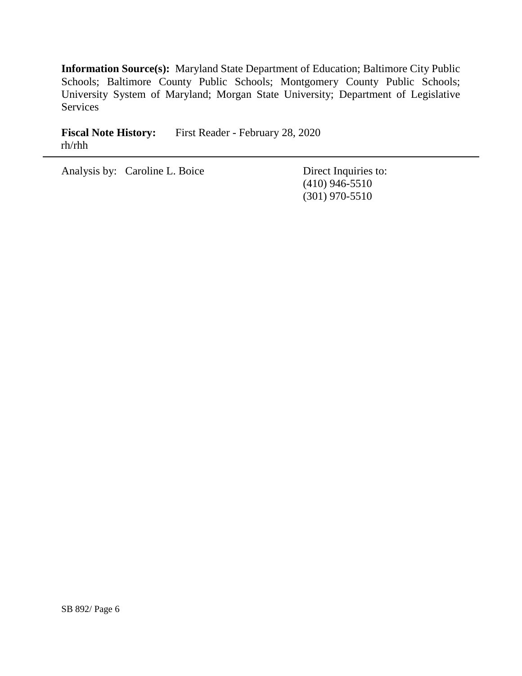**Information Source(s):** Maryland State Department of Education; Baltimore City Public Schools; Baltimore County Public Schools; Montgomery County Public Schools; University System of Maryland; Morgan State University; Department of Legislative Services

Fiscal Note History: First Reader - February 28, 2020 rh/rhh

Analysis by: Caroline L. Boice Direct Inquiries to:

(410) 946-5510 (301) 970-5510